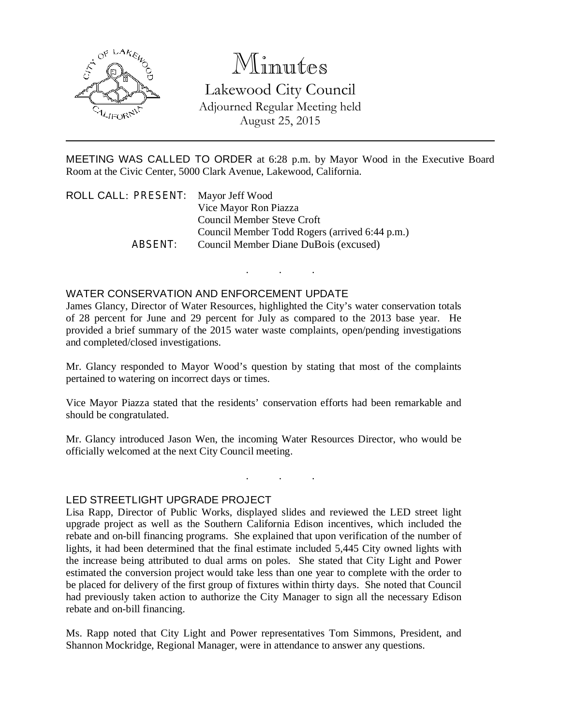

# Minutes

Lakewood City Council Adjourned Regular Meeting held August 25, 2015

MEETING WAS CALLED TO ORDER at 6:28 p.m. by Mayor Wood in the Executive Board Room at the Civic Center, 5000 Clark Avenue, Lakewood, California.

. . .

| ROLL CALL: PRESENT: Mayor Jeff Wood |                                                |
|-------------------------------------|------------------------------------------------|
|                                     | Vice Mayor Ron Piazza                          |
|                                     | Council Member Steve Croft                     |
|                                     | Council Member Todd Rogers (arrived 6:44 p.m.) |
| ABSFNT:                             | Council Member Diane DuBois (excused)          |

## WATER CONSERVATION AND ENFORCEMENT UPDATE

James Glancy, Director of Water Resources, highlighted the City's water conservation totals of 28 percent for June and 29 percent for July as compared to the 2013 base year. He provided a brief summary of the 2015 water waste complaints, open/pending investigations and completed/closed investigations.

Mr. Glancy responded to Mayor Wood's question by stating that most of the complaints pertained to watering on incorrect days or times.

Vice Mayor Piazza stated that the residents' conservation efforts had been remarkable and should be congratulated.

Mr. Glancy introduced Jason Wen, the incoming Water Resources Director, who would be officially welcomed at the next City Council meeting.

. . .

#### LED STREETLIGHT UPGRADE PROJECT

Lisa Rapp, Director of Public Works, displayed slides and reviewed the LED street light upgrade project as well as the Southern California Edison incentives, which included the rebate and on-bill financing programs. She explained that upon verification of the number of lights, it had been determined that the final estimate included 5,445 City owned lights with the increase being attributed to dual arms on poles. She stated that City Light and Power estimated the conversion project would take less than one year to complete with the order to be placed for delivery of the first group of fixtures within thirty days. She noted that Council had previously taken action to authorize the City Manager to sign all the necessary Edison rebate and on-bill financing.

Ms. Rapp noted that City Light and Power representatives Tom Simmons, President, and Shannon Mockridge, Regional Manager, were in attendance to answer any questions.